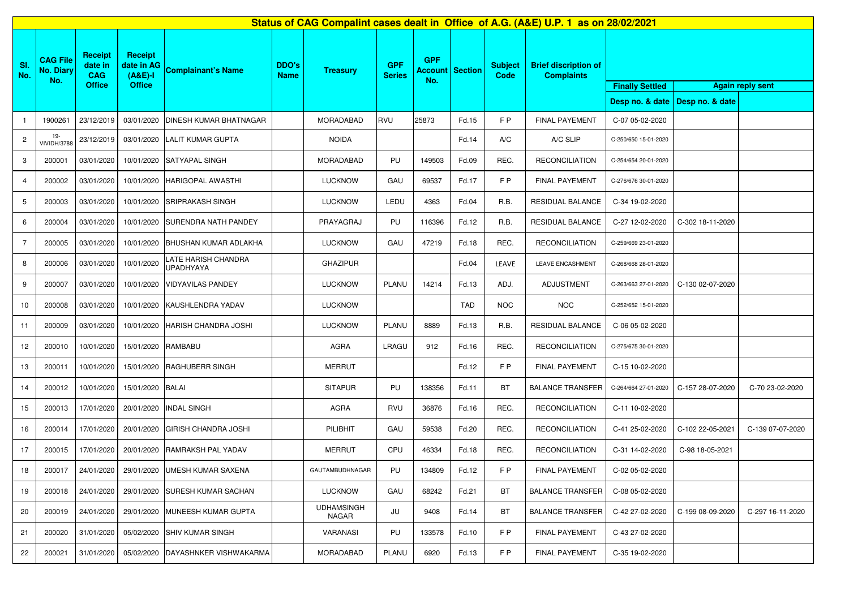|                          |                                            |                                                          |                                                            |                                         |                             |                                   |                             |                   |                        |                        | Status of CAG Compalint cases dealt in Office of A.G. (A&E) U.P. 1 as on 28/02/2021 |                      |                                                   |                  |  |  |
|--------------------------|--------------------------------------------|----------------------------------------------------------|------------------------------------------------------------|-----------------------------------------|-----------------------------|-----------------------------------|-----------------------------|-------------------|------------------------|------------------------|-------------------------------------------------------------------------------------|----------------------|---------------------------------------------------|------------------|--|--|
| SI.<br>No.               | <b>CAG File</b><br><b>No. Diary</b><br>No. | <b>Receipt</b><br>date in<br><b>CAG</b><br><b>Office</b> | <b>Receipt</b><br>date in AG<br>$(A&E)-I$<br><b>Office</b> | <b>Complainant's Name</b>               | <b>DDO's</b><br><b>Name</b> | <b>Treasury</b>                   | <b>GPF</b><br><b>Series</b> | <b>GPF</b><br>No. | <b>Account Section</b> | <b>Subject</b><br>Code | <b>Brief discription of</b><br><b>Complaints</b>                                    |                      | <b>Finally Settled</b><br><b>Again reply sent</b> |                  |  |  |
|                          |                                            |                                                          |                                                            |                                         |                             |                                   |                             |                   |                        |                        |                                                                                     |                      | Desp no. & date   Desp no. & date                 |                  |  |  |
|                          | 1900261                                    | 23/12/2019                                               | 03/01/2020                                                 | <b>DINESH KUMAR BHATNAGAR</b>           |                             | <b>MORADABAD</b>                  | RVU                         | 25873             | Fd.15                  | FP                     | <b>FINAL PAYEMENT</b>                                                               | C-07 05-02-2020      |                                                   |                  |  |  |
| $\mathbf{2}$             | 19-<br><b>VIVIDH/3788</b>                  | 23/12/2019                                               | 03/01/2020                                                 | <b>LALIT KUMAR GUPTA</b>                |                             | <b>NOIDA</b>                      |                             |                   | Fd.14                  | A/C                    | A/C SLIP                                                                            | C-250/650 15-01-2020 |                                                   |                  |  |  |
| 3                        | 200001                                     | 03/01/2020                                               |                                                            | 10/01/2020 SATYAPAL SINGH               |                             | <b>MORADABAD</b>                  | PU                          | 149503            | Fd.09                  | REC.                   | <b>RECONCILIATION</b>                                                               | C-254/654 20-01-2020 |                                                   |                  |  |  |
| $\overline{\mathcal{L}}$ | 200002                                     | 03/01/2020                                               | 10/01/2020                                                 | <b>HARIGOPAL AWASTHI</b>                |                             | <b>LUCKNOW</b>                    | GAU                         | 69537             | Fd.17                  | FP                     | <b>FINAL PAYEMENT</b>                                                               | C-276/676 30-01-2020 |                                                   |                  |  |  |
| 5                        | 200003                                     | 03/01/2020                                               | 10/01/2020                                                 | <b>SRIPRAKASH SINGH</b>                 |                             | <b>LUCKNOW</b>                    | LEDU                        | 4363              | Fd.04                  | R.B.                   | <b>RESIDUAL BALANCE</b>                                                             | C-34 19-02-2020      |                                                   |                  |  |  |
| 6                        | 200004                                     | 03/01/2020                                               | 10/01/2020                                                 | <b>SURENDRA NATH PANDEY</b>             |                             | PRAYAGRAJ                         | PU                          | 116396            | Fd.12                  | R.B.                   | <b>RESIDUAL BALANCE</b>                                                             | C-27 12-02-2020      | C-302 18-11-2020                                  |                  |  |  |
| 7                        | 200005                                     | 03/01/2020                                               | 10/01/2020                                                 | <b>BHUSHAN KUMAR ADLAKHA</b>            |                             | <b>LUCKNOW</b>                    | GAU                         | 47219             | Fd.18                  | REC.                   | <b>RECONCILIATION</b>                                                               | C-259/669 23-01-2020 |                                                   |                  |  |  |
| 8                        | 200006                                     | 03/01/2020                                               | 10/01/2020                                                 | LATE HARISH CHANDRA<br><b>UPADHYAYA</b> |                             | <b>GHAZIPUR</b>                   |                             |                   | Fd.04                  | LEAVE                  | LEAVE ENCASHMENT                                                                    | C-268/668 28-01-2020 |                                                   |                  |  |  |
| 9                        | 200007                                     | 03/01/2020                                               | 10/01/2020                                                 | <b>VIDYAVILAS PANDEY</b>                |                             | <b>LUCKNOW</b>                    | PLANU                       | 14214             | Fd.13                  | ADJ.                   | <b>ADJUSTMENT</b>                                                                   | C-263/663 27-01-2020 | C-130 02-07-2020                                  |                  |  |  |
| 10                       | 200008                                     | 03/01/2020                                               | 10/01/2020                                                 | KAUSHLENDRA YADAV                       |                             | <b>LUCKNOW</b>                    |                             |                   | <b>TAD</b>             | <b>NOC</b>             | <b>NOC</b>                                                                          | C-252/652 15-01-2020 |                                                   |                  |  |  |
| 11                       | 200009                                     | 03/01/2020                                               | 10/01/2020                                                 | HARISH CHANDRA JOSHI                    |                             | <b>LUCKNOW</b>                    | PLANU                       | 8889              | Fd.13                  | R.B.                   | <b>RESIDUAL BALANCE</b>                                                             | C-06 05-02-2020      |                                                   |                  |  |  |
| 12                       | 200010                                     | 10/01/2020                                               | 15/01/2020 RAMBABU                                         |                                         |                             | <b>AGRA</b>                       | <b>LRAGU</b>                | 912               | Fd.16                  | REC.                   | <b>RECONCILIATION</b>                                                               | C-275/675 30-01-2020 |                                                   |                  |  |  |
| 13                       | 200011                                     | 10/01/2020                                               | 15/01/2020                                                 | <b>RAGHUBERR SINGH</b>                  |                             | <b>MERRUT</b>                     |                             |                   | Fd.12                  | FP                     | <b>FINAL PAYEMENT</b>                                                               | C-15 10-02-2020      |                                                   |                  |  |  |
| 14                       | 200012                                     | 10/01/2020                                               | 15/01/2020 BALAI                                           |                                         |                             | <b>SITAPUR</b>                    | PU                          | 138356            | Fd.11                  | <b>BT</b>              | <b>BALANCE TRANSFER</b>                                                             | C-264/664 27-01-2020 | C-157 28-07-2020                                  | C-70 23-02-2020  |  |  |
| 15                       | 200013                                     | 17/01/2020                                               | 20/01/2020                                                 | <b>INDAL SINGH</b>                      |                             | <b>AGRA</b>                       | <b>RVU</b>                  | 36876             | Fd.16                  | REC.                   | <b>RECONCILIATION</b>                                                               | C-11 10-02-2020      |                                                   |                  |  |  |
| 16                       | 200014                                     | 17/01/2020                                               | 20/01/2020                                                 | <b>GIRISH CHANDRA JOSHI</b>             |                             | PILIBHIT                          | GAU                         | 59538             | Fd.20                  | REC.                   | <b>RECONCILIATION</b>                                                               | C-41 25-02-2020      | C-102 22-05-2021                                  | C-139 07-07-2020 |  |  |
| 17                       | 200015                                     | 17/01/2020                                               | 20/01/2020                                                 | <b>RAMRAKSH PAL YADAV</b>               |                             | <b>MERRUT</b>                     | CPU                         | 46334             | Fd.18                  | REC.                   | <b>RECONCILIATION</b>                                                               | C-31 14-02-2020      | C-98 18-05-2021                                   |                  |  |  |
| 18                       | 200017                                     | 24/01/2020                                               |                                                            | 29/01/2020 UMESH KUMAR SAXENA           |                             | GAUTAMBUDHNAGAR                   | PU                          | 134809            | Fd.12                  | FP                     | <b>FINAL PAYEMENT</b>                                                               | C-02 05-02-2020      |                                                   |                  |  |  |
| 19                       | 200018                                     | 24/01/2020                                               | 29/01/2020                                                 | <b>SURESH KUMAR SACHAN</b>              |                             | <b>LUCKNOW</b>                    | GAU                         | 68242             | Fd.21                  | <b>BT</b>              | <b>BALANCE TRANSFER</b>                                                             | C-08 05-02-2020      |                                                   |                  |  |  |
| 20                       | 200019                                     | 24/01/2020                                               | 29/01/2020                                                 | <b>MUNEESH KUMAR GUPTA</b>              |                             | <b>UDHAMSINGH</b><br><b>NAGAR</b> | JU                          | 9408              | Fd.14                  | <b>BT</b>              | <b>BALANCE TRANSFER</b>                                                             | C-42 27-02-2020      | C-199 08-09-2020                                  | C-297 16-11-2020 |  |  |
| 21                       | 200020                                     | 31/01/2020                                               | 05/02/2020                                                 | <b>SHIV KUMAR SINGH</b>                 |                             | <b>VARANASI</b>                   | PU                          | 133578            | Fd.10                  | FP                     | <b>FINAL PAYEMENT</b>                                                               | C-43 27-02-2020      |                                                   |                  |  |  |
| 22                       | 200021                                     | 31/01/2020                                               | 05/02/2020                                                 | DAYASHNKER VISHWAKARMA                  |                             | <b>MORADABAD</b>                  | PLANU                       | 6920              | Fd.13                  | FP                     | <b>FINAL PAYEMENT</b>                                                               | C-35 19-02-2020      |                                                   |                  |  |  |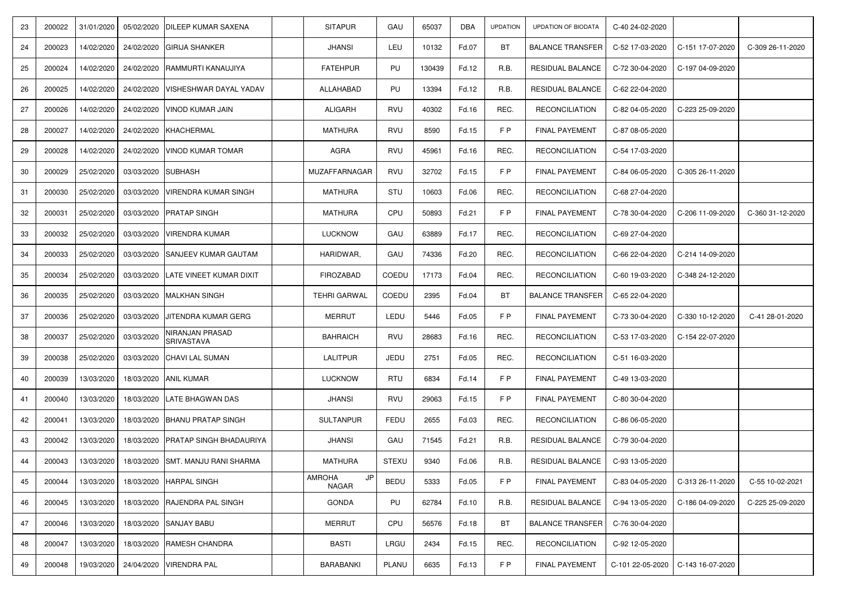| 23 | 200022 | 31/01/2020 | 05/02/2020         | <b>DILEEP KUMAR SAXENA</b>                  | <b>SITAPUR</b>                      | GAU          | 65037  | <b>DBA</b> | <b>UPDATION</b> | <b>UPDATION OF BIODATA</b> | C-40 24-02-2020  |                  |                  |
|----|--------|------------|--------------------|---------------------------------------------|-------------------------------------|--------------|--------|------------|-----------------|----------------------------|------------------|------------------|------------------|
| 24 | 200023 | 14/02/2020 | 24/02/2020         | <b>GIRIJA SHANKER</b>                       | <b>JHANSI</b>                       | LEU          | 10132  | Fd.07      | <b>BT</b>       | <b>BALANCE TRANSFER</b>    | C-52 17-03-2020  | C-151 17-07-2020 | C-309 26-11-2020 |
| 25 | 200024 | 14/02/2020 | 24/02/2020         | <b>RAMMURTI KANAUJIYA</b>                   | <b>FATEHPUR</b>                     | PU           | 130439 | Fd.12      | R.B.            | <b>RESIDUAL BALANCE</b>    | C-72 30-04-2020  | C-197 04-09-2020 |                  |
| 26 | 200025 | 14/02/2020 |                    | 24/02/2020   VISHESHWAR DAYAL YADAV         | ALLAHABAD                           | PU           | 13394  | Fd.12      | R.B.            | RESIDUAL BALANCE           | C-62 22-04-2020  |                  |                  |
| 27 | 200026 | 14/02/2020 |                    | 24/02/2020 VINOD KUMAR JAIN                 | <b>ALIGARH</b>                      | RVU          | 40302  | Fd.16      | REC.            | <b>RECONCILIATION</b>      | C-82 04-05-2020  | C-223 25-09-2020 |                  |
| 28 | 200027 | 14/02/2020 | 24/02/2020         | KHACHERMAL                                  | <b>MATHURA</b>                      | <b>RVU</b>   | 8590   | Fd.15      | FP              | <b>FINAL PAYEMENT</b>      | C-87 08-05-2020  |                  |                  |
| 29 | 200028 | 14/02/2020 | 24/02/2020         | <b>VINOD KUMAR TOMAR</b>                    | AGRA                                | <b>RVU</b>   | 45961  | Fd.16      | REC.            | <b>RECONCILIATION</b>      | C-54 17-03-2020  |                  |                  |
| 30 | 200029 | 25/02/2020 | 03/03/2020 SUBHASH |                                             | MUZAFFARNAGAR                       | <b>RVU</b>   | 32702  | Fd.15      | FP              | <b>FINAL PAYEMENT</b>      | C-84 06-05-2020  | C-305 26-11-2020 |                  |
| 31 | 200030 | 25/02/2020 |                    | 03/03/2020   VIRENDRA KUMAR SINGH           | <b>MATHURA</b>                      | <b>STU</b>   | 10603  | Fd.06      | REC.            | <b>RECONCILIATION</b>      | C-68 27-04-2020  |                  |                  |
| 32 | 200031 | 25/02/2020 | 03/03/2020         | <b>PRATAP SINGH</b>                         | <b>MATHURA</b>                      | CPU          | 50893  | Fd.21      | F P             | <b>FINAL PAYEMENT</b>      | C-78 30-04-2020  | C-206 11-09-2020 | C-360 31-12-2020 |
| 33 | 200032 | 25/02/2020 |                    | 03/03/2020   VIRENDRA KUMAR                 | <b>LUCKNOW</b>                      | GAU          | 63889  | Fd.17      | REC.            | <b>RECONCILIATION</b>      | C-69 27-04-2020  |                  |                  |
| 34 | 200033 | 25/02/2020 |                    | 03/03/2020 SANJEEV KUMAR GAUTAM             | HARIDWAR,                           | GAU          | 74336  | Fd.20      | REC.            | <b>RECONCILIATION</b>      | C-66 22-04-2020  | C-214 14-09-2020 |                  |
| 35 | 200034 | 25/02/2020 | 03/03/2020         | LATE VINEET KUMAR DIXIT                     | <b>FIROZABAD</b>                    | COEDU        | 17173  | Fd.04      | REC.            | <b>RECONCILIATION</b>      | C-60 19-03-2020  | C-348 24-12-2020 |                  |
| 36 | 200035 | 25/02/2020 | 03/03/2020         | MALKHAN SINGH                               | <b>TEHRI GARWAL</b>                 | COEDU        | 2395   | Fd.04      | <b>BT</b>       | <b>BALANCE TRANSFER</b>    | C-65 22-04-2020  |                  |                  |
| 37 | 200036 | 25/02/2020 | 03/03/2020         | JITENDRA KUMAR GERG                         | <b>MERRUT</b>                       | LEDU         | 5446   | Fd.05      | FP              | <b>FINAL PAYEMENT</b>      | C-73 30-04-2020  | C-330 10-12-2020 | C-41 28-01-2020  |
| 38 | 200037 | 25/02/2020 | 03/03/2020         | <b>NIRANJAN PRASAD</b><br><b>SRIVASTAVA</b> | <b>BAHRAICH</b>                     | <b>RVU</b>   | 28683  | Fd.16      | REC.            | <b>RECONCILIATION</b>      | C-53 17-03-2020  | C-154 22-07-2020 |                  |
| 39 | 200038 | 25/02/2020 |                    | 03/03/2020 CHAVI LAL SUMAN                  | <b>LALITPUR</b>                     | JEDU         | 2751   | Fd.05      | REC.            | <b>RECONCILIATION</b>      | C-51 16-03-2020  |                  |                  |
| 40 | 200039 | 13/03/2020 |                    | 18/03/2020 ANIL KUMAR                       | <b>LUCKNOW</b>                      | <b>RTU</b>   | 6834   | Fd.14      | F P             | <b>FINAL PAYEMENT</b>      | C-49 13-03-2020  |                  |                  |
| 41 | 200040 | 13/03/2020 | 18/03/2020         | <b>LATE BHAGWAN DAS</b>                     | <b>JHANSI</b>                       | <b>RVU</b>   | 29063  | Fd.15      | FP              | FINAL PAYEMENT             | C-80 30-04-2020  |                  |                  |
| 42 | 200041 | 13/03/2020 | 18/03/2020         | <b>BHANU PRATAP SINGH</b>                   | <b>SULTANPUR</b>                    | <b>FEDU</b>  | 2655   | Fd.03      | REC.            | <b>RECONCILIATION</b>      | C-86 06-05-2020  |                  |                  |
| 43 | 200042 | 13/03/2020 |                    | 18/03/2020 PRATAP SINGH BHADAURIYA          | <b>JHANSI</b>                       | GAU          | 71545  | Fd.21      | R.B.            | RESIDUAL BALANCE           | C-79 30-04-2020  |                  |                  |
| 44 | 200043 | 13/03/2020 |                    | 18/03/2020 SMT. MANJU RANI SHARMA           | MATHURA                             | <b>STEXU</b> | 9340   | Fd.06      | R.B.            | <b>RESIDUAL BALANCE</b>    | C-93 13-05-2020  |                  |                  |
| 45 | 200044 | 13/03/2020 |                    | 18/03/2020   HARPAL SINGH                   | <b>AMROHA</b><br>JP<br><b>NAGAR</b> | <b>BEDU</b>  | 5333   | Fd.05      | F P             | <b>FINAL PAYEMENT</b>      | C-83 04-05-2020  | C-313 26-11-2020 | C-55 10-02-2021  |
| 46 | 200045 | 13/03/2020 |                    | 18/03/2020 RAJENDRA PAL SINGH               | <b>GONDA</b>                        | PU           | 62784  | Fd.10      | R.B.            | RESIDUAL BALANCE           | C-94 13-05-2020  | C-186 04-09-2020 | C-225 25-09-2020 |
| 47 | 200046 | 13/03/2020 |                    | 18/03/2020 SANJAY BABU                      | <b>MERRUT</b>                       | CPU          | 56576  | Fd.18      | <b>BT</b>       | <b>BALANCE TRANSFER</b>    | C-76 30-04-2020  |                  |                  |
| 48 | 200047 | 13/03/2020 |                    | 18/03/2020   RAMESH CHANDRA                 | <b>BASTI</b>                        | LRGU         | 2434   | Fd.15      | REC.            | <b>RECONCILIATION</b>      | C-92 12-05-2020  |                  |                  |
| 49 | 200048 | 19/03/2020 |                    | 24/04/2020 VIRENDRA PAL                     | <b>BARABANKI</b>                    | PLANU        | 6635   | Fd.13      | F P             | <b>FINAL PAYEMENT</b>      | C-101 22-05-2020 | C-143 16-07-2020 |                  |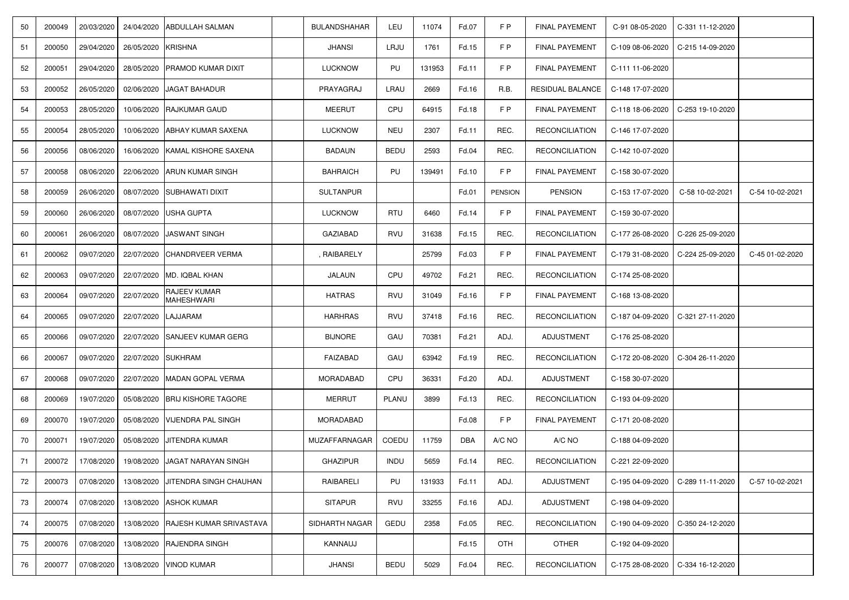| 50  | 200049 | 20/03/2020 | 24/04/2020         | <b>ABDULLAH SALMAN</b>                   | <b>BULANDSHAHAR</b> | LEU         | 11074  | Fd.07      | F P            | <b>FINAL PAYEMENT</b> | C-91 08-05-2020  | C-331 11-12-2020 |                 |
|-----|--------|------------|--------------------|------------------------------------------|---------------------|-------------|--------|------------|----------------|-----------------------|------------------|------------------|-----------------|
| -51 | 200050 | 29/04/2020 | 26/05/2020         | <b>KRISHNA</b>                           | <b>JHANSI</b>       | LRJU        | 1761   | Fd.15      | FP             | <b>FINAL PAYEMENT</b> | C-109 08-06-2020 | C-215 14-09-2020 |                 |
| 52  | 200051 | 29/04/2020 | 28/05/2020         | <b>PRAMOD KUMAR DIXIT</b>                | <b>LUCKNOW</b>      | PU          | 131953 | Fd.11      | FP             | <b>FINAL PAYEMENT</b> | C-111 11-06-2020 |                  |                 |
| 53  | 200052 | 26/05/2020 | 02/06/2020         | <b>JAGAT BAHADUR</b>                     | PRAYAGRAJ           | LRAU        | 2669   | Fd.16      | R.B.           | RESIDUAL BALANCE      | C-148 17-07-2020 |                  |                 |
| 54  | 200053 | 28/05/2020 |                    | 10/06/2020 RAJKUMAR GAUD                 | <b>MEERUT</b>       | CPU         | 64915  | Fd.18      | F P            | <b>FINAL PAYEMENT</b> | C-118 18-06-2020 | C-253 19-10-2020 |                 |
| 55  | 200054 | 28/05/2020 |                    | 10/06/2020 ABHAY KUMAR SAXENA            | <b>LUCKNOW</b>      | <b>NEU</b>  | 2307   | Fd.11      | REC.           | <b>RECONCILIATION</b> | C-146 17-07-2020 |                  |                 |
| 56  | 200056 | 08/06/2020 | 16/06/2020         | <b>IKAMAL KISHORE SAXENA</b>             | <b>BADAUN</b>       | <b>BEDU</b> | 2593   | Fd.04      | REC.           | <b>RECONCILIATION</b> | C-142 10-07-2020 |                  |                 |
| 57  | 200058 | 08/06/2020 |                    | 22/06/2020 ARUN KUMAR SINGH              | <b>BAHRAICH</b>     | PU          | 139491 | Fd.10      | FP             | <b>FINAL PAYEMENT</b> | C-158 30-07-2020 |                  |                 |
| 58  | 200059 | 26/06/2020 |                    | 08/07/2020 SUBHAWATI DIXIT               | <b>SULTANPUR</b>    |             |        | Fd.01      | <b>PENSION</b> | <b>PENSION</b>        | C-153 17-07-2020 | C-58 10-02-2021  | C-54 10-02-2021 |
| 59  | 200060 | 26/06/2020 | 08/07/2020         | USHA GUPTA                               | <b>LUCKNOW</b>      | <b>RTU</b>  | 6460   | Fd.14      | FP             | <b>FINAL PAYEMENT</b> | C-159 30-07-2020 |                  |                 |
| 60  | 200061 | 26/06/2020 |                    | 08/07/2020 JASWANT SINGH                 | <b>GAZIABAD</b>     | <b>RVU</b>  | 31638  | Fd.15      | REC.           | <b>RECONCILIATION</b> | C-177 26-08-2020 | C-226 25-09-2020 |                 |
| -61 | 200062 | 09/07/2020 | 22/07/2020         | <b>CHANDRVEER VERMA</b>                  | , RAIBARELY         |             | 25799  | Fd.03      | FP             | <b>FINAL PAYEMENT</b> | C-179 31-08-2020 | C-224 25-09-2020 | C-45 01-02-2020 |
| 62  | 200063 | 09/07/2020 | 22/07/2020         | MD. IQBAL KHAN                           | JALAUN              | CPU         | 49702  | Fd.21      | REC.           | <b>RECONCILIATION</b> | C-174 25-08-2020 |                  |                 |
| 63  | 200064 | 09/07/2020 | 22/07/2020         | <b>RAJEEV KUMAR</b><br><b>MAHESHWARI</b> | <b>HATRAS</b>       | <b>RVU</b>  | 31049  | Fd.16      | FP             | <b>FINAL PAYEMENT</b> | C-168 13-08-2020 |                  |                 |
| 64  | 200065 | 09/07/2020 | 22/07/2020         | <b>LAJJARAM</b>                          | <b>HARHRAS</b>      | <b>RVU</b>  | 37418  | Fd.16      | REC.           | <b>RECONCILIATION</b> | C-187 04-09-2020 | C-321 27-11-2020 |                 |
| 65  | 200066 | 09/07/2020 |                    | 22/07/2020 SANJEEV KUMAR GERG            | <b>BIJNORE</b>      | GAU         | 70381  | Fd.21      | ADJ.           | <b>ADJUSTMENT</b>     | C-176 25-08-2020 |                  |                 |
| 66  | 200067 | 09/07/2020 | 22/07/2020 SUKHRAM |                                          | FAIZABAD            | GAU         | 63942  | Fd.19      | REC.           | <b>RECONCILIATION</b> | C-172 20-08-2020 | C-304 26-11-2020 |                 |
| 67  | 200068 | 09/07/2020 | 22/07/2020         | MADAN GOPAL VERMA                        | <b>MORADABAD</b>    | CPU         | 36331  | Fd.20      | ADJ.           | <b>ADJUSTMENT</b>     | C-158 30-07-2020 |                  |                 |
| 68  | 200069 | 19/07/2020 | 05/08/2020         | <b>BRIJ KISHORE TAGORE</b>               | <b>MERRUT</b>       | PLANU       | 3899   | Fd.13      | REC.           | <b>RECONCILIATION</b> | C-193 04-09-2020 |                  |                 |
| 69  | 200070 | 19/07/2020 | 05/08/2020         | <b>VIJENDRA PAL SINGH</b>                | <b>MORADABAD</b>    |             |        | Fd.08      | FP             | <b>FINAL PAYEMENT</b> | C-171 20-08-2020 |                  |                 |
| 70  | 200071 | 19/07/2020 | 05/08/2020         | JITENDRA KUMAR                           | MUZAFFARNAGAR       | COEDU       | 11759  | <b>DBA</b> | A/C NO         | A/C NO                | C-188 04-09-2020 |                  |                 |
| 71  | 200072 | 17/08/2020 |                    | 19/08/2020 JJAGAT NARAYAN SINGH          | <b>GHAZIPUR</b>     | <b>INDU</b> | 5659   | Fd.14      | REC.           | <b>RECONCILIATION</b> | C-221 22-09-2020 |                  |                 |
| 72  | 200073 | 07/08/2020 | 13/08/2020         | JITENDRA SINGH CHAUHAN                   | RAIBARELI           | PU          | 131933 | Fd.11      | ADJ.           | <b>ADJUSTMENT</b>     | C-195 04-09-2020 | C-289 11-11-2020 | C-57 10-02-2021 |
| 73  | 200074 | 07/08/2020 |                    | 13/08/2020 ASHOK KUMAR                   | <b>SITAPUR</b>      | <b>RVU</b>  | 33255  | Fd.16      | ADJ.           | <b>ADJUSTMENT</b>     | C-198 04-09-2020 |                  |                 |
| 74  | 200075 | 07/08/2020 |                    | 13/08/2020 RAJESH KUMAR SRIVASTAVA       | SIDHARTH NAGAR      | <b>GEDU</b> | 2358   | Fd.05      | REC.           | <b>RECONCILIATION</b> | C-190 04-09-2020 | C-350 24-12-2020 |                 |
| 75  | 200076 | 07/08/2020 |                    | 13/08/2020 RAJENDRA SINGH                | KANNAUJ             |             |        | Fd.15      | <b>OTH</b>     | <b>OTHER</b>          | C-192 04-09-2020 |                  |                 |
| 76  | 200077 | 07/08/2020 |                    | 13/08/2020 VINOD KUMAR                   | <b>JHANSI</b>       | <b>BEDU</b> | 5029   | Fd.04      | REC.           | <b>RECONCILIATION</b> | C-175 28-08-2020 | C-334 16-12-2020 |                 |
|     |        |            |                    |                                          |                     |             |        |            |                |                       |                  |                  |                 |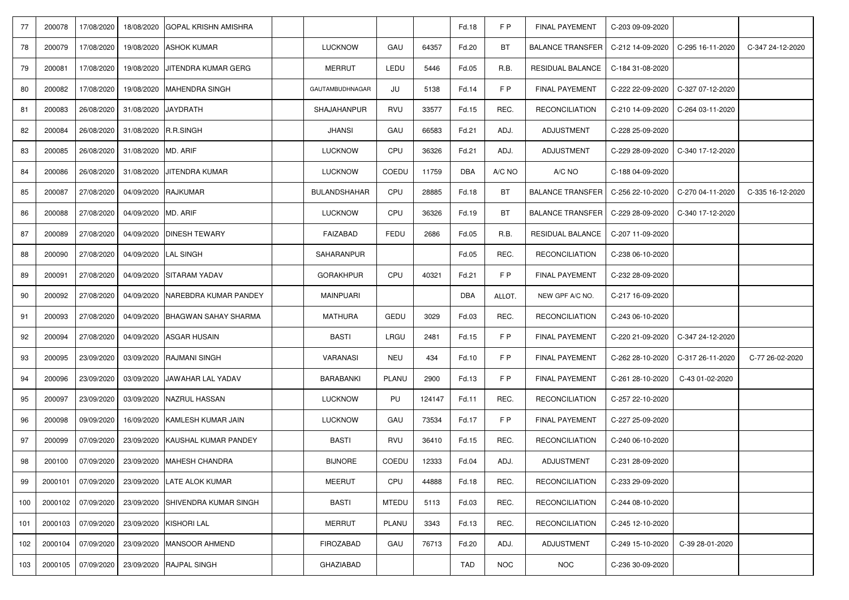| 77  | 200078  | 17/08/2020 | 18/08/2020           | <b>IGOPAL KRISHN AMISHRA</b>           |                     |              |        | Fd.18      | F P        | <b>FINAL PAYEMENT</b>   | C-203 09-09-2020 |                                     |                  |
|-----|---------|------------|----------------------|----------------------------------------|---------------------|--------------|--------|------------|------------|-------------------------|------------------|-------------------------------------|------------------|
| 78  | 200079  | 17/08/2020 |                      | 19/08/2020 ASHOK KUMAR                 | <b>LUCKNOW</b>      | GAU          | 64357  | Fd.20      | BT         | <b>BALANCE TRANSFER</b> | C-212 14-09-2020 | C-295 16-11-2020                    | C-347 24-12-2020 |
| 79  | 200081  | 17/08/2020 |                      | 19/08/2020 JJITENDRA KUMAR GERG        | <b>MERRUT</b>       | LEDU         | 5446   | Fd.05      | R.B.       | RESIDUAL BALANCE        | C-184 31-08-2020 |                                     |                  |
| -80 | 200082  | 17/08/2020 |                      | 19/08/2020 MAHENDRA SINGH              | GAUTAMBUDHNAGAR     | JU           | 5138   | Fd.14      | FP         | <b>FINAL PAYEMENT</b>   | C-222 22-09-2020 | C-327 07-12-2020                    |                  |
| 81  | 200083  | 26/08/2020 | 31/08/2020 JAYDRATH  |                                        | <b>SHAJAHANPUR</b>  | RVU          | 33577  | Fd.15      | REC.       | <b>RECONCILIATION</b>   | C-210 14-09-2020 | C-264 03-11-2020                    |                  |
| 82  | 200084  | 26/08/2020 | 31/08/2020 R.R.SINGH |                                        | <b>JHANSI</b>       | GAU          | 66583  | Fd.21      | ADJ.       | <b>ADJUSTMENT</b>       | C-228 25-09-2020 |                                     |                  |
| 83  | 200085  | 26/08/2020 | 31/08/2020 MD. ARIF  |                                        | <b>LUCKNOW</b>      | CPU          | 36326  | Fd.21      | ADJ.       | <b>ADJUSTMENT</b>       | C-229 28-09-2020 | C-340 17-12-2020                    |                  |
| 84  | 200086  | 26/08/2020 |                      | 31/08/2020 JJITENDRA KUMAR             | <b>LUCKNOW</b>      | <b>COEDU</b> | 11759  | <b>DBA</b> | A/C NO     | A/C NO                  | C-188 04-09-2020 |                                     |                  |
| 85  | 200087  | 27/08/2020 | 04/09/2020 RAJKUMAR  |                                        | <b>BULANDSHAHAR</b> | CPU          | 28885  | Fd.18      | BT         | <b>BALANCE TRANSFER</b> | C-256 22-10-2020 | C-270 04-11-2020                    | C-335 16-12-2020 |
| 86  | 200088  | 27/08/2020 | 04/09/2020 MD. ARIF  |                                        | <b>LUCKNOW</b>      | CPU          | 36326  | Fd.19      | <b>BT</b>  | <b>BALANCE TRANSFER</b> | C-229 28-09-2020 | C-340 17-12-2020                    |                  |
| 87  | 200089  | 27/08/2020 |                      | 04/09/2020 DINESH TEWARY               | FAIZABAD            | FEDU         | 2686   | Fd.05      | R.B.       | RESIDUAL BALANCE        | C-207 11-09-2020 |                                     |                  |
| 88  | 200090  | 27/08/2020 | 04/09/2020 LAL SINGH |                                        | <b>SAHARANPUR</b>   |              |        | Fd.05      | REC.       | <b>RECONCILIATION</b>   | C-238 06-10-2020 |                                     |                  |
| 89  | 200091  | 27/08/2020 |                      | 04/09/2020 SITARAM YADAV               | <b>GORAKHPUR</b>    | CPU          | 40321  | Fd.21      | FP         | <b>FINAL PAYEMENT</b>   | C-232 28-09-2020 |                                     |                  |
| 90  | 200092  | 27/08/2020 |                      | 04/09/2020 NAREBDRA KUMAR PANDEY       | <b>MAINPUARI</b>    |              |        | <b>DBA</b> | ALLOT.     | NEW GPF A/C NO.         | C-217 16-09-2020 |                                     |                  |
| 91  | 200093  | 27/08/2020 |                      | 04/09/2020 BHAGWAN SAHAY SHARMA        | <b>MATHURA</b>      | <b>GEDU</b>  | 3029   | Fd.03      | REC.       | <b>RECONCILIATION</b>   | C-243 06-10-2020 |                                     |                  |
| 92  | 200094  |            |                      | 27/08/2020   04/09/2020   ASGAR HUSAIN | <b>BASTI</b>        | LRGU         | 2481   | Fd.15      | F P        | <b>FINAL PAYEMENT</b>   |                  | C-220 21-09-2020   C-347 24-12-2020 |                  |
| 93  | 200095  | 23/09/2020 |                      | 03/09/2020 RAJMANI SINGH               | <b>VARANASI</b>     | <b>NEU</b>   | 434    | Fd.10      | FP         | <b>FINAL PAYEMENT</b>   | C-262 28-10-2020 | C-317 26-11-2020                    | C-77 26-02-2020  |
| 94  | 200096  | 23/09/2020 |                      | 03/09/2020 JAWAHAR LAL YADAV           | <b>BARABANKI</b>    | PLANU        | 2900   | Fd.13      | F P        | <b>FINAL PAYEMENT</b>   | C-261 28-10-2020 | C-43 01-02-2020                     |                  |
| 95  | 200097  | 23/09/2020 |                      | 03/09/2020 NAZRUL HASSAN               | <b>LUCKNOW</b>      | PU           | 124147 | Fd.11      | REC.       | <b>RECONCILIATION</b>   | C-257 22-10-2020 |                                     |                  |
| 96  | 200098  | 09/09/2020 |                      | 16/09/2020 KAMLESH KUMAR JAIN          | <b>LUCKNOW</b>      | GAU          | 73534  | Fd.17      | FP         | <b>FINAL PAYEMENT</b>   | C-227 25-09-2020 |                                     |                  |
| 97  | 200099  | 07/09/2020 |                      | 23/09/2020 KAUSHAL KUMAR PANDEY        | <b>BASTI</b>        | <b>RVU</b>   | 36410  | Fd.15      | REC.       | <b>RECONCILIATION</b>   | C-240 06-10-2020 |                                     |                  |
| 98  | 200100  | 07/09/2020 |                      | 23/09/2020   MAHESH CHANDRA            | <b>BIJNORE</b>      | COEDU        | 12333  | Fd.04      | ADJ.       | <b>ADJUSTMENT</b>       | C-231 28-09-2020 |                                     |                  |
| 99  | 2000101 | 07/09/2020 |                      | 23/09/2020 LATE ALOK KUMAR             | <b>MEERUT</b>       | CPU          | 44888  | Fd.18      | REC.       | <b>RECONCILIATION</b>   | C-233 29-09-2020 |                                     |                  |
| 100 | 2000102 | 07/09/2020 |                      | 23/09/2020 SHIVENDRA KUMAR SINGH       | <b>BASTI</b>        | <b>MTEDU</b> | 5113   | Fd.03      | REC.       | <b>RECONCILIATION</b>   | C-244 08-10-2020 |                                     |                  |
| 101 | 2000103 | 07/09/2020 |                      | 23/09/2020 KISHORI LAL                 | <b>MERRUT</b>       | PLANU        | 3343   | Fd.13      | REC.       | <b>RECONCILIATION</b>   | C-245 12-10-2020 |                                     |                  |
| 102 | 2000104 | 07/09/2020 |                      | 23/09/2020   MANSOOR AHMEND            | <b>FIROZABAD</b>    | GAU          | 76713  | Fd.20      | ADJ.       | <b>ADJUSTMENT</b>       | C-249 15-10-2020 | C-39 28-01-2020                     |                  |
| 103 | 2000105 | 07/09/2020 |                      | 23/09/2020 RAJPAL SINGH                | <b>GHAZIABAD</b>    |              |        | <b>TAD</b> | <b>NOC</b> | <b>NOC</b>              | C-236 30-09-2020 |                                     |                  |
|     |         |            |                      |                                        |                     |              |        |            |            |                         |                  |                                     |                  |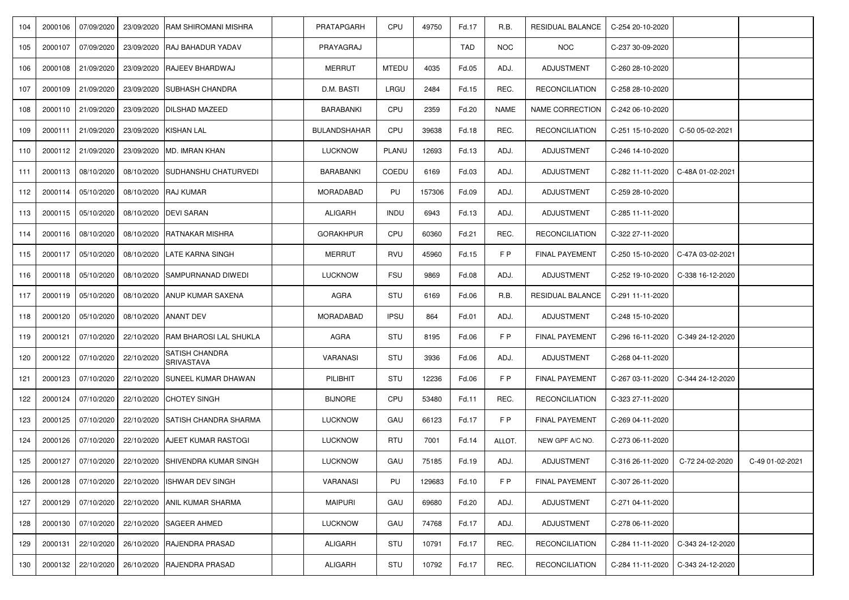| 104 | 2000106 | 07/09/2020         | 23/09/2020 | <b>RAM SHIROMANI MISHRA</b>                        | PRATAPGARH          | CPU          | 49750  | Fd.17      | R.B.        | <b>RESIDUAL BALANCE</b> | C-254 20-10-2020 |                                     |                 |
|-----|---------|--------------------|------------|----------------------------------------------------|---------------------|--------------|--------|------------|-------------|-------------------------|------------------|-------------------------------------|-----------------|
| 105 | 2000107 | 07/09/2020         |            | 23/09/2020 RAJ BAHADUR YADAV                       | PRAYAGRAJ           |              |        | <b>TAD</b> | <b>NOC</b>  | <b>NOC</b>              | C-237 30-09-2020 |                                     |                 |
| 106 | 2000108 | 21/09/2020         |            | 23/09/2020 RAJEEV BHARDWAJ                         | <b>MERRUT</b>       | <b>MTEDU</b> | 4035   | Fd.05      | ADJ.        | <b>ADJUSTMENT</b>       | C-260 28-10-2020 |                                     |                 |
| 107 | 2000109 | 21/09/2020         |            | 23/09/2020 SUBHASH CHANDRA                         | D.M. BASTI          | LRGU         | 2484   | Fd.15      | REC.        | <b>RECONCILIATION</b>   | C-258 28-10-2020 |                                     |                 |
| 108 | 2000110 | 21/09/2020         |            | 23/09/2020   DILSHAD MAZEED                        | <b>BARABANKI</b>    | CPU          | 2359   | Fd.20      | <b>NAME</b> | <b>NAME CORRECTION</b>  | C-242 06-10-2020 |                                     |                 |
| 109 | 2000111 | 21/09/2020         | 23/09/2020 | KISHAN LAL                                         | <b>BULANDSHAHAR</b> | CPU          | 39638  | Fd.18      | REC.        | <b>RECONCILIATION</b>   | C-251 15-10-2020 | C-50 05-02-2021                     |                 |
| 110 |         |                    |            | 2000112   21/09/2020   23/09/2020   MD. IMRAN KHAN | <b>LUCKNOW</b>      | PLANU        | 12693  | Fd.13      | ADJ.        | <b>ADJUSTMENT</b>       | C-246 14-10-2020 |                                     |                 |
| 111 | 2000113 | 08/10/2020         |            | 08/10/2020 SUDHANSHU CHATURVEDI                    | <b>BARABANKI</b>    | COEDU        | 6169   | Fd.03      | ADJ.        | <b>ADJUSTMENT</b>       | C-282 11-11-2020 | $C-48A01-02-2021$                   |                 |
| 112 | 2000114 | 05/10/2020         |            | 08/10/2020 RAJ KUMAR                               | <b>MORADABAD</b>    | PU           | 157306 | Fd.09      | ADJ.        | <b>ADJUSTMENT</b>       | C-259 28-10-2020 |                                     |                 |
| 113 |         | 2000115 05/10/2020 |            | 08/10/2020 DEVI SARAN                              | <b>ALIGARH</b>      | <b>INDU</b>  | 6943   | Fd.13      | ADJ.        | <b>ADJUSTMENT</b>       | C-285 11-11-2020 |                                     |                 |
| 114 | 2000116 | 08/10/2020         |            | 08/10/2020 RATNAKAR MISHRA                         | <b>GORAKHPUR</b>    | CPU          | 60360  | Fd.21      | REC.        | <b>RECONCILIATION</b>   | C-322 27-11-2020 |                                     |                 |
| 115 | 2000117 | 05/10/2020         | 08/10/2020 | <b>LATE KARNA SINGH</b>                            | <b>MERRUT</b>       | <b>RVU</b>   | 45960  | Fd.15      | FP          | <b>FINAL PAYEMENT</b>   | C-250 15-10-2020 | C-47A 03-02-2021                    |                 |
| 116 | 2000118 | 05/10/2020         |            | 08/10/2020 SAMPURNANAD DIWEDI                      | <b>LUCKNOW</b>      | <b>FSU</b>   | 9869   | Fd.08      | ADJ.        | <b>ADJUSTMENT</b>       | C-252 19-10-2020 | $C-338$ 16-12-2020                  |                 |
| 117 | 2000119 | 05/10/2020         |            | 08/10/2020 ANUP KUMAR SAXENA                       | AGRA                | <b>STU</b>   | 6169   | Fd.06      | R.B.        | <b>RESIDUAL BALANCE</b> | C-291 11-11-2020 |                                     |                 |
| 118 | 2000120 | 05/10/2020         |            | 08/10/2020 ANANT DEV                               | <b>MORADABAD</b>    | <b>IPSU</b>  | 864    | Fd.01      | ADJ.        | <b>ADJUSTMENT</b>       | C-248 15-10-2020 |                                     |                 |
| 119 | 2000121 |                    |            | 07/10/2020 22/10/2020 RAM BHAROSI LAL SHUKLA       | <b>AGRA</b>         | <b>STU</b>   | 8195   | Fd.06      | FP          | <b>FINAL PAYEMENT</b>   |                  | C-296 16-11-2020   C-349 24-12-2020 |                 |
| 120 | 2000122 | 07/10/2020         | 22/10/2020 | <b>SATISH CHANDRA</b><br><b>SRIVASTAVA</b>         | <b>VARANASI</b>     | STU          | 3936   | Fd.06      | ADJ.        | <b>ADJUSTMENT</b>       | C-268 04-11-2020 |                                     |                 |
| 121 | 2000123 | 07/10/2020         |            | 22/10/2020 SUNEEL KUMAR DHAWAN                     | PILIBHIT            | <b>STU</b>   | 12236  | Fd.06      | FP          | <b>FINAL PAYEMENT</b>   | C-267 03-11-2020 | C-344 24-12-2020                    |                 |
| 122 | 2000124 | 07/10/2020         |            | 22/10/2020 CHOTEY SINGH                            | <b>BIJNORE</b>      | CPU          | 53480  | Fd.11      | REC.        | <b>RECONCILIATION</b>   | C-323 27-11-2020 |                                     |                 |
| 123 | 2000125 | 07/10/2020         |            | 22/10/2020 SATISH CHANDRA SHARMA                   | <b>LUCKNOW</b>      | GAU          | 66123  | Fd.17      | F P         | <b>FINAL PAYEMENT</b>   | C-269 04-11-2020 |                                     |                 |
| 124 | 2000126 | 07/10/2020         |            | 22/10/2020 AJEET KUMAR RASTOGI                     | <b>LUCKNOW</b>      | <b>RTU</b>   | 7001   | Fd.14      | ALLOT.      | NEW GPF A/C NO.         | C-273 06-11-2020 |                                     |                 |
| 125 | 2000127 | 07/10/2020         |            | 22/10/2020 SHIVENDRA KUMAR SINGH                   | <b>LUCKNOW</b>      | GAU          | 75185  | Fd.19      | ADJ.        | <b>ADJUSTMENT</b>       | C-316 26-11-2020 | C-72 24-02-2020                     | C-49 01-02-2021 |
| 126 | 2000128 | 07/10/2020         |            | 22/10/2020 ISHWAR DEV SINGH                        | <b>VARANASI</b>     | PU           | 129683 | Fd.10      | F P         | <b>FINAL PAYEMENT</b>   | C-307 26-11-2020 |                                     |                 |
| 127 | 2000129 | 07/10/2020         |            | 22/10/2020 ANIL KUMAR SHARMA                       | <b>MAIPURI</b>      | GAU          | 69680  | Fd.20      | ADJ.        | ADJUSTMENT              | C-271 04-11-2020 |                                     |                 |
| 128 | 2000130 | 07/10/2020         |            | 22/10/2020 SAGEER AHMED                            | <b>LUCKNOW</b>      | GAU          | 74768  | Fd.17      | ADJ.        | <b>ADJUSTMENT</b>       | C-278 06-11-2020 |                                     |                 |
| 129 | 2000131 | 22/10/2020         |            | 26/10/2020 RAJENDRA PRASAD                         | <b>ALIGARH</b>      | <b>STU</b>   | 10791  | Fd.17      | REC.        | <b>RECONCILIATION</b>   | C-284 11-11-2020 | $C-34324-12-2020$                   |                 |
| 130 | 2000132 | 22/10/2020         |            | 26/10/2020 RAJENDRA PRASAD                         | ALIGARH             | STU          | 10792  | Fd.17      | REC.        | <b>RECONCILIATION</b>   | C-284 11-11-2020 | C-343 24-12-2020                    |                 |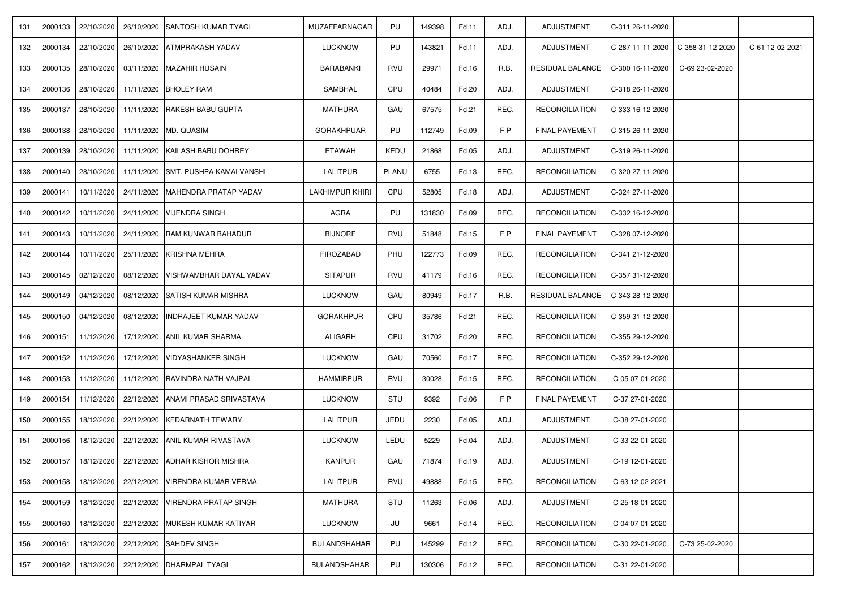| 131 | 2000133 | 22/10/2020 | 26/10/2020 | <b>SANTOSH KUMAR TYAGI</b>           | MUZAFFARNAGAR          | PU         | 149398 | Fd.11 | ADJ. | <b>ADJUSTMENT</b>       | C-311 26-11-2020 |                  |                 |
|-----|---------|------------|------------|--------------------------------------|------------------------|------------|--------|-------|------|-------------------------|------------------|------------------|-----------------|
| 132 | 2000134 | 22/10/2020 | 26/10/2020 | <b>ATMPRAKASH YADAV</b>              | <b>LUCKNOW</b>         | PU         | 143821 | Fd.11 | ADJ. | <b>ADJUSTMENT</b>       | C-287 11-11-2020 | C-358 31-12-2020 | C-61 12-02-2021 |
| 133 | 2000135 | 28/10/2020 | 03/11/2020 | <b>MAZAHIR HUSAIN</b>                | <b>BARABANKI</b>       | <b>RVU</b> | 29971  | Fd.16 | R.B. | <b>RESIDUAL BALANCE</b> | C-300 16-11-2020 | C-69 23-02-2020  |                 |
| 134 | 2000136 | 28/10/2020 |            | 11/11/2020 BHOLEY RAM                | <b>SAMBHAL</b>         | CPU        | 40484  | Fd.20 | ADJ. | <b>ADJUSTMENT</b>       | C-318 26-11-2020 |                  |                 |
| 135 | 2000137 | 28/10/2020 |            | 11/11/2020 RAKESH BABU GUPTA         | <b>MATHURA</b>         | GAU        | 67575  | Fd.21 | REC. | <b>RECONCILIATION</b>   | C-333 16-12-2020 |                  |                 |
| 136 | 2000138 | 28/10/2020 | 11/11/2020 | MD. QUASIM                           | <b>GORAKHPUAR</b>      | PU         | 112749 | Fd.09 | FP   | <b>FINAL PAYEMENT</b>   | C-315 26-11-2020 |                  |                 |
| 137 | 2000139 | 28/10/2020 | 11/11/2020 | KAILASH BABU DOHREY                  | <b>ETAWAH</b>          | KEDU       | 21868  | Fd.05 | ADJ. | <b>ADJUSTMENT</b>       | C-319 26-11-2020 |                  |                 |
| 138 | 2000140 | 28/10/2020 |            | 11/11/2020 SMT. PUSHPA KAMALVANSHI   | <b>LALITPUR</b>        | PLANU      | 6755   | Fd.13 | REC. | <b>RECONCILIATION</b>   | C-320 27-11-2020 |                  |                 |
| 139 | 2000141 | 10/11/2020 | 24/11/2020 | MAHENDRA PRATAP YADAV                | <b>LAKHIMPUR KHIRI</b> | CPU        | 52805  | Fd.18 | ADJ. | <b>ADJUSTMENT</b>       | C-324 27-11-2020 |                  |                 |
| 140 | 2000142 | 10/11/2020 |            | 24/11/2020 VIJENDRA SINGH            | <b>AGRA</b>            | PU         | 131830 | Fd.09 | REC. | <b>RECONCILIATION</b>   | C-332 16-12-2020 |                  |                 |
| 141 | 2000143 | 10/11/2020 |            | 24/11/2020 RAM KUNWAR BAHADUR        | <b>BIJNORE</b>         | <b>RVU</b> | 51848  | Fd.15 | FP   | <b>FINAL PAYEMENT</b>   | C-328 07-12-2020 |                  |                 |
| 142 | 2000144 | 10/11/2020 | 25/11/2020 | <b>KRISHNA MEHRA</b>                 | <b>FIROZABAD</b>       | PHU        | 122773 | Fd.09 | REC. | <b>RECONCILIATION</b>   | C-341 21-12-2020 |                  |                 |
| 143 | 2000145 | 02/12/2020 |            | 08/12/2020   VISHWAMBHAR DAYAL YADAV | <b>SITAPUR</b>         | <b>RVU</b> | 41179  | Fd.16 | REC. | <b>RECONCILIATION</b>   | C-357 31-12-2020 |                  |                 |
| 144 | 2000149 | 04/12/2020 | 08/12/2020 | <b>SATISH KUMAR MISHRA</b>           | <b>LUCKNOW</b>         | GAU        | 80949  | Fd.17 | R.B. | RESIDUAL BALANCE        | C-343 28-12-2020 |                  |                 |
| 145 | 2000150 | 04/12/2020 | 08/12/2020 | <b>INDRAJEET KUMAR YADAV</b>         | <b>GORAKHPUR</b>       | CPU        | 35786  | Fd.21 | REC. | <b>RECONCILIATION</b>   | C-359 31-12-2020 |                  |                 |
| 146 | 2000151 | 11/12/2020 |            | 17/12/2020 ANIL KUMAR SHARMA         | <b>ALIGARH</b>         | CPU        | 31702  | Fd.20 | REC. | <b>RECONCILIATION</b>   | C-355 29-12-2020 |                  |                 |
| 147 | 2000152 | 11/12/2020 |            | 17/12/2020   VIDYASHANKER SINGH      | <b>LUCKNOW</b>         | GAU        | 70560  | Fd.17 | REC. | <b>RECONCILIATION</b>   | C-352 29-12-2020 |                  |                 |
| 148 | 2000153 | 11/12/2020 | 11/12/2020 | <b>RAVINDRA NATH VAJPAI</b>          | <b>HAMMIRPUR</b>       | <b>RVU</b> | 30028  | Fd.15 | REC. | <b>RECONCILIATION</b>   | C-05 07-01-2020  |                  |                 |
| 149 | 2000154 | 11/12/2020 |            | 22/12/2020 ANAMI PRASAD SRIVASTAVA   | <b>LUCKNOW</b>         | STU        | 9392   | Fd.06 | FP   | <b>FINAL PAYEMENT</b>   | C-37 27-01-2020  |                  |                 |
| 150 | 2000155 | 18/12/2020 | 22/12/2020 | <b>KEDARNATH TEWARY</b>              | <b>LALITPUR</b>        | JEDU       | 2230   | Fd.05 | ADJ. | <b>ADJUSTMENT</b>       | C-38 27-01-2020  |                  |                 |
| 151 | 2000156 | 18/12/2020 |            | 22/12/2020 ANIL KUMAR RIVASTAVA      | <b>LUCKNOW</b>         | LEDU       | 5229   | Fd.04 | ADJ. | <b>ADJUSTMENT</b>       | C-33 22-01-2020  |                  |                 |
| 152 | 2000157 | 18/12/2020 |            | 22/12/2020 ADHAR KISHOR MISHRA       | KANPUR                 | GAU        | 71874  | Fd.19 | ADJ. | <b>ADJUSTMENT</b>       | C-19 12-01-2020  |                  |                 |
| 153 | 2000158 | 18/12/2020 | 22/12/2020 | <b>VIRENDRA KUMAR VERMA</b>          | <b>LALITPUR</b>        | <b>RVU</b> | 49888  | Fd.15 | REC. | <b>RECONCILIATION</b>   | C-63 12-02-2021  |                  |                 |
| 154 | 2000159 | 18/12/2020 | 22/12/2020 | <b>VIRENDRA PRATAP SINGH</b>         | <b>MATHURA</b>         | STU        | 11263  | Fd.06 | ADJ. | <b>ADJUSTMENT</b>       | C-25 18-01-2020  |                  |                 |
| 155 | 2000160 | 18/12/2020 | 22/12/2020 | MUKESH KUMAR KATIYAR                 | <b>LUCKNOW</b>         | JU         | 9661   | Fd.14 | REC. | <b>RECONCILIATION</b>   | C-04 07-01-2020  |                  |                 |
| 156 | 2000161 | 18/12/2020 |            | 22/12/2020 SAHDEV SINGH              | <b>BULANDSHAHAR</b>    | PU         | 145299 | Fd.12 | REC. | <b>RECONCILIATION</b>   | C-30 22-01-2020  | C-73 25-02-2020  |                 |
| 157 | 2000162 | 18/12/2020 |            | 22/12/2020   DHARMPAL TYAGI          | <b>BULANDSHAHAR</b>    | PU         | 130306 | Fd.12 | REC. | <b>RECONCILIATION</b>   | C-31 22-01-2020  |                  |                 |